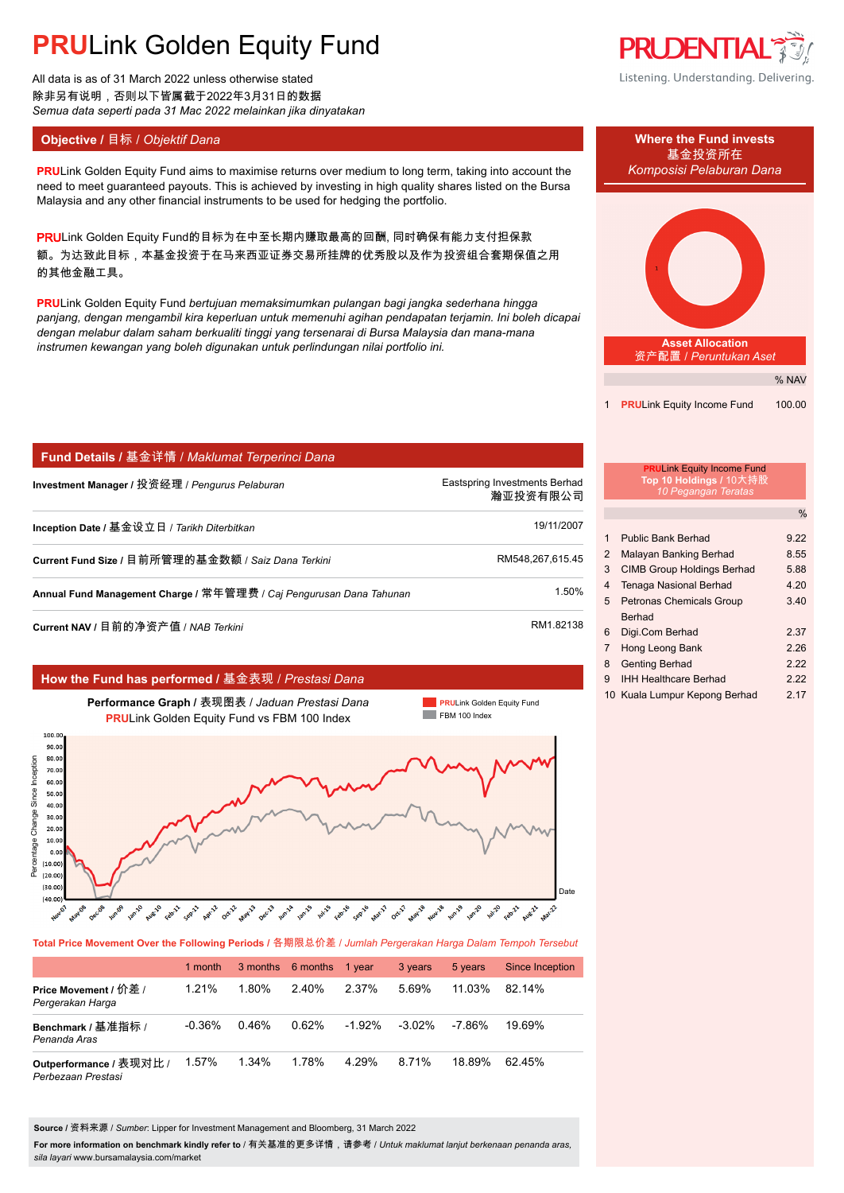# **PRU**Link Golden Equity Fund

All data is as of 31 March 2022 unless otherwise stated 除非另有说明,否则以下皆属截于2022年3月31日的数据 *Semua data seperti pada 31 Mac 2022 melainkan jika dinyatakan*

**PRULink Golden Equity Fund aims to maximise returns over medium to long term, taking into account the** *Komposisi Pelaburan Dana* need to meet guaranteed payouts. This is achieved by investing in high quality shares listed on the Bursa Malaysia and any other financial instruments to be used for hedging the portfolio.

PRULink Golden Equity Fund的目标为在中至长期内赚取最高的回酬, 同时确保有能力支付担保款 额。为达致此目标,本基金投资于在马来西亚证券交易所挂牌的优秀股以及作为投资组合套期保值之用 的其他金融工具。

**PRU**Link Golden Equity Fund *bertujuan memaksimumkan pulangan bagi jangka sederhana hingga panjang, dengan mengambil kira keperluan untuk memenuhi agihan pendapatan terjamin. Ini boleh dicapai dengan melabur dalam saham berkualiti tinggi yang tersenarai di Bursa Malaysia dan mana-mana instrumen kewangan yang boleh digunakan untuk perlindungan nilai portfolio ini.*

| │ Fund Details / 基金详情 / Maklumat Terperinci Dana                    |                                           |
|---------------------------------------------------------------------|-------------------------------------------|
| Investment Manager / 投资经理 / Pengurus Pelaburan                      | Eastspring Investments Berhad<br>瀚亚投资有限公司 |
| Inception Date / 基金设立日 / Tarikh Diterbitkan                         | 19/11/2007                                |
| Current Fund Size / 目前所管理的基金数额 / Saiz Dana Terkini                  | RM548.267.615.45                          |
| Annual Fund Management Charge / 常年管理费 / Caj Pengurusan Dana Tahunan | 1.50%                                     |
| Current NAV / 目前的净资产值 / NAB Terkini                                 | RM1.82138                                 |

#### **How the Fund has performed /** 基金表现 / *Prestasi Dana*



**Total Price Movement Over the Following Periods /** 各期限总价差 / *Jumlah Pergerakan Harga Dalam Tempoh Tersebut*

|                                               | 1 month  |       | 3 months 6 months 1 year |           | 3 years   | 5 years | Since Inception |
|-----------------------------------------------|----------|-------|--------------------------|-----------|-----------|---------|-----------------|
| Price Movement / 价差 /<br>Pergerakan Harga     | 1.21%    | 1.80% | $2.40\%$                 | 2.37%     | 5.69%     | 11.03%  | $82.14\%$       |
| Benchmark / 基准指标 /<br>Penanda Aras            | $-0.36%$ | 0.46% | 0.62%                    | $-1.92\%$ | $-3.02\%$ | -7.86%  | 19.69%          |
| Outperformance / 表现对比 /<br>Perbezaan Prestasi | 1.57%    | 1.34% | 1.78%                    | 4.29%     | 8.71%     | 18 89%  | 6245%           |

**Source /** 资料来源 / *Sumber*: Lipper for Investment Management and Bloomberg, 31 March 2022

**For more information on benchmark kindly refer to** / 有关基准的更多详情,请参考 / *Untuk maklumat lanjut berkenaan penanda aras, sila layari* www.bursamalaysia.com/market



Listening. Understanding. Delivering.



1 **PRU**Link Equity Income Fund 100.00

### **PRU**Link Equity Income Fund **Top 10 Holdings /** 10大持股 *10 Pegangan Teratas*

|   |                                   | $\frac{0}{0}$ |
|---|-----------------------------------|---------------|
|   |                                   |               |
| 1 | Public Bank Berhad                | 922           |
| 2 | Malayan Banking Berhad            | 8.55          |
| 3 | <b>CIMB Group Holdings Berhad</b> | 5.88          |
| 4 | <b>Tenaga Nasional Berhad</b>     | 4 20          |
| 5 | <b>Petronas Chemicals Group</b>   | 3.40          |
|   | <b>Berhad</b>                     |               |
| 6 | Digi.Com Berhad                   | 2.37          |
| 7 | Hong Leong Bank                   | 2.26          |
| 8 | <b>Genting Berhad</b>             | 222           |
| 9 | <b>IHH Healthcare Berhad</b>      | 222           |
|   | 10 Kuala Lumpur Kepong Berhad     | 2 17          |
|   |                                   |               |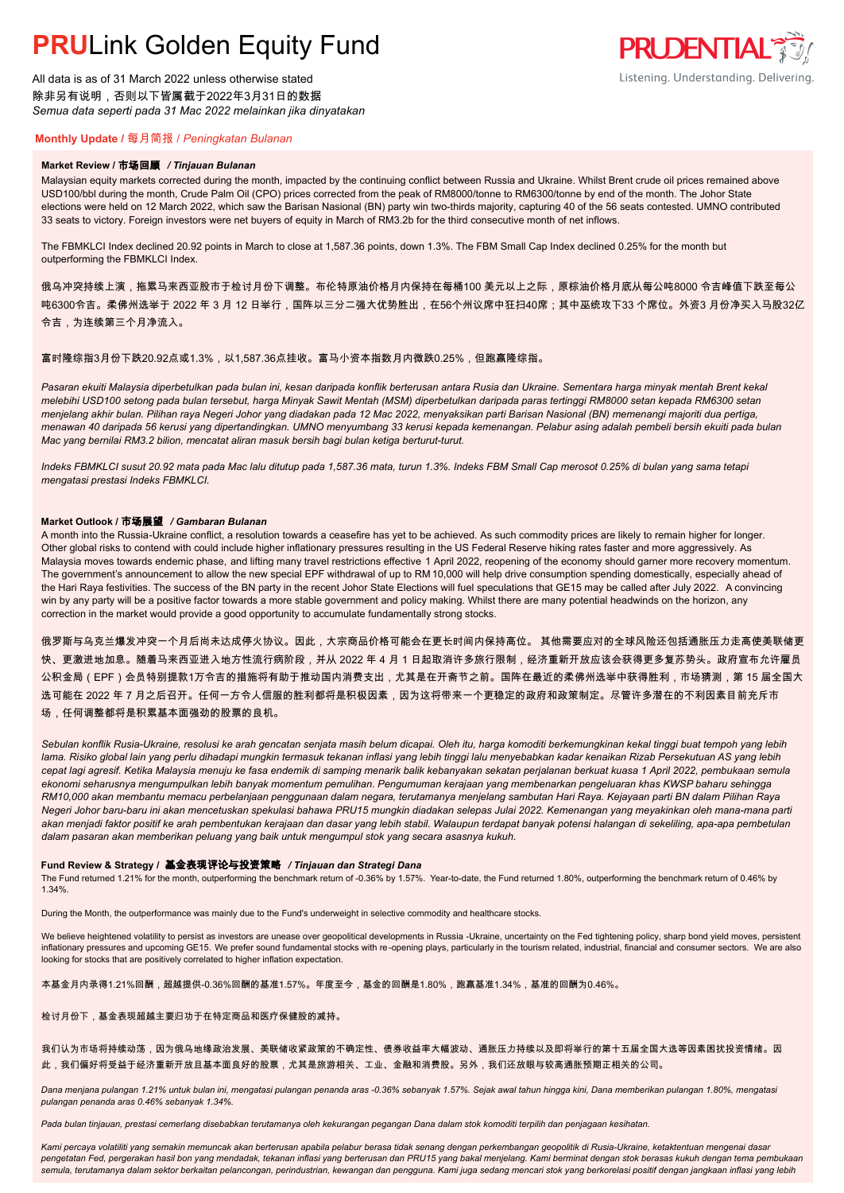## **PRU**Link Golden Equity Fund

All data is as of 31 March 2022 unless otherwise stated 除非另有说明,否则以下皆属截于2022年3月31日的数据 *Semua data seperti pada 31 Mac 2022 melainkan jika dinyatakan*

### **PRUDENTIAL** Listening. Understanding. Delivering.

#### **Monthly Update /** 每月简报 / *Peningkatan Bulanan*

#### **Market Review /** 市场回顾 */ Tinjauan Bulanan*

Malaysian equity markets corrected during the month, impacted by the continuing conflict between Russia and Ukraine. Whilst Brent crude oil prices remained above USD100/bbl during the month, Crude Palm Oil (CPO) prices corrected from the peak of RM8000/tonne to RM6300/tonne by end of the month. The Johor State elections were held on 12 March 2022, which saw the Barisan Nasional (BN) party win two-thirds majority, capturing 40 of the 56 seats contested. UMNO contributed 33 seats to victory. Foreign investors were net buyers of equity in March of RM3.2b for the third consecutive month of net inflows.

The FBMKLCI Index declined 20.92 points in March to close at 1,587.36 points, down 1.3%. The FBM Small Cap Index declined 0.25% for the month but outperforming the FBMKLCI Index.

俄乌冲突持续上演,拖累马来西亚股市于检讨月份下调整。布伦特原油价格月内保持在每桶100 美元以上之际,原棕油价格月底从每公吨8000 令吉峰值下跌至每公 <u>吨6300令吉。柔佛州选举于 2022 年 3 月 12 日举行,国阵以三分二强大优势胜出,在56个州议席中狂扫40席;其中巫统攻下33 个席位。外资3 月份净买入马股32亿</u> 令吉,为连续第三个月净流入。

#### 富时隆综指3月份下跌20.92点或1.3%,以1,587.36点挂收。富马小资本指数月内微跌0.25%,但跑赢隆综指。

*Pasaran ekuiti Malaysia diperbetulkan pada bulan ini, kesan daripada konflik berterusan antara Rusia dan Ukraine. Sementara harga minyak mentah Brent kekal melebihi USD100 setong pada bulan tersebut, harga Minyak Sawit Mentah (MSM) diperbetulkan daripada paras tertinggi RM8000 setan kepada RM6300 setan menjelang akhir bulan. Pilihan raya Negeri Johor yang diadakan pada 12 Mac 2022, menyaksikan parti Barisan Nasional (BN) memenangi majoriti dua pertiga, menawan 40 daripada 56 kerusi yang dipertandingkan. UMNO menyumbang 33 kerusi kepada kemenangan. Pelabur asing adalah pembeli bersih ekuiti pada bulan Mac yang bernilai RM3.2 bilion, mencatat aliran masuk bersih bagi bulan ketiga berturut-turut.*

*Indeks FBMKLCI susut 20.92 mata pada Mac lalu ditutup pada 1,587.36 mata, turun 1.3%. Indeks FBM Small Cap merosot 0.25% di bulan yang sama tetapi mengatasi prestasi Indeks FBMKLCI.*

#### **Market Outlook /** 市场展望 */ Gambaran Bulanan*

A month into the Russia-Ukraine conflict, a resolution towards a ceasefire has yet to be achieved. As such commodity prices are likely to remain higher for longer. Other global risks to contend with could include higher inflationary pressures resulting in the US Federal Reserve hiking rates faster and more aggressively. As Malaysia moves towards endemic phase, and lifting many travel restrictions effective 1 April 2022, reopening of the economy should garner more recovery momentum. The government's announcement to allow the new special EPF withdrawal of up to RM 10,000 will help drive consumption spending domestically, especially ahead of the Hari Raya festivities. The success of the BN party in the recent Johor State Elections will fuel speculations that GE15 may be called after July 2022. A convincing win by any party will be a positive factor towards a more stable government and policy making. Whilst there are many potential headwinds on the horizon, any correction in the market would provide a good opportunity to accumulate fundamentally strong stocks.

俄罗斯与乌克兰爆发冲突一个月后尚未达成停火协议。因此,大宗商品价格可能会在更长时间内保持高位。 其他需要应对的全球风险还包括通胀压力走高使美联储更 快、更激进地加息。随着马来西亚进入地方性流行病阶段,并从 2022 年 4 月 1 日起取消许多旅行限制,经济重新开放应该会获得更多复苏势头。政府宣布允许雇员 公积金局(EPF)会员特别提款1万令吉的措施将有助于推动国内消费支出,尤其是在开斋节之前。国阵在最近的柔佛州选举中获得胜利,市场猜测,第 15 届全国大 选可能在 2022 年 7 月之后召开。任何一方令人信服的胜利都将是积极因素,因为这将带来一个更稳定的政府和政策制定。尽管许多潜在的不利因素目前充斥市 场,任何调整都将是积累基本面强劲的股票的良机。

*Sebulan konflik Rusia-Ukraine, resolusi ke arah gencatan senjata masih belum dicapai. Oleh itu, harga komoditi berkemungkinan kekal tinggi buat tempoh yang lebih lama. Risiko global lain yang perlu dihadapi mungkin termasuk tekanan inflasi yang lebih tinggi lalu menyebabkan kadar kenaikan Rizab Persekutuan AS yang lebih cepat lagi agresif. Ketika Malaysia menuju ke fasa endemik di samping menarik balik kebanyakan sekatan perjalanan berkuat kuasa 1 April 2022, pembukaan semula ekonomi seharusnya mengumpulkan lebih banyak momentum pemulihan. Pengumuman kerajaan yang membenarkan pengeluaran khas KWSP baharu sehingga RM10,000 akan membantu memacu perbelanjaan penggunaan dalam negara, terutamanya menjelang sambutan Hari Raya. Kejayaan parti BN dalam Pilihan Raya Negeri Johor baru-baru ini akan mencetuskan spekulasi bahawa PRU15 mungkin diadakan selepas Julai 2022. Kemenangan yang meyakinkan oleh mana-mana parti akan menjadi faktor positif ke arah pembentukan kerajaan dan dasar yang lebih stabil. Walaupun terdapat banyak potensi halangan di sekeliling, apa-apa pembetulan dalam pasaran akan memberikan peluang yang baik untuk mengumpul stok yang secara asasnya kukuh.*

#### **Fund Review & Strategy /** 基金表现评论与投资策略 */ Tinjauan dan Strategi Dana*

The Fund returned 1.21% for the month, outperforming the benchmark return of -0.36% by 1.57%. Year-to-date, the Fund returned 1.80%, outperforming the benchmark return of 0.46% by *.* 1.34%.

During the Month, the outperformance was mainly due to the Fund's underweight in selective commodity and healthcare stocks.

We believe heightened volatility to persist as investors are unease over geopolitical developments in Russia -Ukraine, uncertainty on the Fed tightening policy, sharp bond yield moves, persistent inflationary pressures and upcoming GE15. We prefer sound fundamental stocks with re-opening plays, particularly in the tourism related, industrial, financial and consumer sectors. We are also looking for stocks that are positively correlated to higher inflation expectation.

本基金月内录得1.21%回酬,超越提供-0.36%回酬的基准1.57%。年度至今,基金的回酬是1.80%,跑赢基准1.34%,基准的回酬为0.46%。

#### 检讨月份下,基金表现超越主要归功于在特定商品和医疗保健股的减持。

#### 我们认为市场将持续动荡,因为俄乌地缘政治发展、美联储收紧政策的不确定性、债券收益率大幅波动、通胀压力持续以及即将举行的第十五届全国大选等因素困扰投资情绪。因 此,我们偏好将受益于经济重新开放且基本面良好的股票,尤其是旅游相关、工业、金融和消费股。另外,我们还放眼与较高通胀预期正相关的公司。

*Dana menjana pulangan 1.21% untuk bulan ini, mengatasi pulangan penanda aras -0.36% sebanyak 1.57%. Sejak awal tahun hingga kini, Dana memberikan pulangan 1.80%, mengatasi pulangan penanda aras 0.46% sebanyak 1.34%.*

*Pada bulan tinjauan, prestasi cemerlang disebabkan terutamanya oleh kekurangan pegangan Dana dalam stok komoditi terpilih dan penjagaan kesihatan.*

*Kami percaya volatiliti yang semakin memuncak akan berterusan apabila pelabur berasa tidak senang dengan perkembangan geopolitik di Rusia-Ukraine, ketaktentuan mengenai dasar pengetatan Fed, pergerakan hasil bon yang mendadak, tekanan inflasi yang berterusan dan PRU15 yang bakal menjelang. Kami berminat dengan stok berasas kukuh dengan tema pembukaan semula, terutamanya dalam sektor berkaitan pelancongan, perindustrian, kewangan dan pengguna. Kami juga sedang mencari stok yang berkorelasi positif dengan jangkaan inflasi yang lebih*